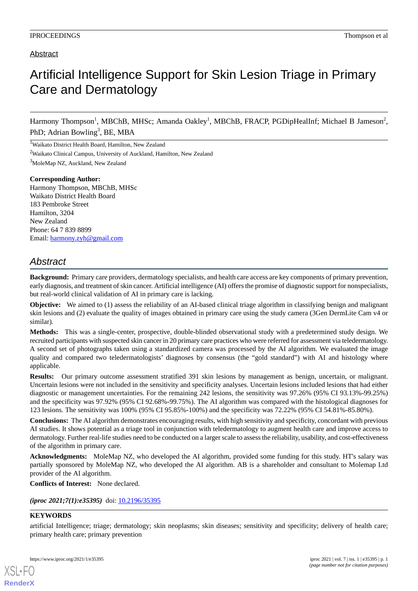## Abstract

## Artificial Intelligence Support for Skin Lesion Triage in Primary Care and Dermatology

Harmony Thompson<sup>1</sup>, MBChB, MHSc; Amanda Oakley<sup>1</sup>, MBChB, FRACP, PGDipHealInf; Michael B Jameson<sup>2</sup>, PhD; Adrian Bowling<sup>3</sup>, BE, MBA

<sup>1</sup>Waikato District Health Board, Hamilton, New Zealand <sup>2</sup>Waikato Clinical Campus, University of Auckland, Hamilton, New Zealand <sup>3</sup>MoleMap NZ, Auckland, New Zealand

**Corresponding Author:** Harmony Thompson, MBChB, MHSc Waikato District Health Board 183 Pembroke Street Hamilton, 3204 New Zealand Phone: 64 7 839 8899 Email: [harmony.zyh@gmail.com](mailto:harmony.zyh@gmail.com)

## *Abstract*

**Background:** Primary care providers, dermatology specialists, and health care access are key components of primary prevention, early diagnosis, and treatment of skin cancer. Artificial intelligence (AI) offers the promise of diagnostic support for nonspecialists, but real-world clinical validation of AI in primary care is lacking.

**Objective:** We aimed to (1) assess the reliability of an AI-based clinical triage algorithm in classifying benign and malignant skin lesions and (2) evaluate the quality of images obtained in primary care using the study camera (3Gen DermLite Cam v4 or similar).

**Methods:** This was a single-center, prospective, double-blinded observational study with a predetermined study design. We recruited participants with suspected skin cancer in 20 primary care practices who were referred for assessment via teledermatology. A second set of photographs taken using a standardized camera was processed by the AI algorithm. We evaluated the image quality and compared two teledermatologists' diagnoses by consensus (the "gold standard") with AI and histology where applicable.

**Results:** Our primary outcome assessment stratified 391 skin lesions by management as benign, uncertain, or malignant. Uncertain lesions were not included in the sensitivity and specificity analyses. Uncertain lesions included lesions that had either diagnostic or management uncertainties. For the remaining 242 lesions, the sensitivity was 97.26% (95% CI 93.13%-99.25%) and the specificity was 97.92% (95% CI 92.68%-99.75%). The AI algorithm was compared with the histological diagnoses for 123 lesions. The sensitivity was 100% (95% CI 95.85%-100%) and the specificity was 72.22% (95% CI 54.81%-85.80%).

**Conclusions:** The AI algorithm demonstrates encouraging results, with high sensitivity and specificity, concordant with previous AI studies. It shows potential as a triage tool in conjunction with teledermatology to augment health care and improve access to dermatology. Further real-life studies need to be conducted on a larger scale to assess the reliability, usability, and cost-effectiveness of the algorithm in primary care.

**Acknowledgments:** MoleMap NZ, who developed the AI algorithm, provided some funding for this study. HT's salary was partially sponsored by MoleMap NZ, who developed the AI algorithm. AB is a shareholder and consultant to Molemap Ltd provider of the AI algorithm.

**Conflicts of Interest:** None declared.

*(iproc 2021;7(1):e35395)* doi:  $10.2196/35395$ 

## **KEYWORDS**

[XSL](http://www.w3.org/Style/XSL)•FO **[RenderX](http://www.renderx.com/)**

artificial Intelligence; triage; dermatology; skin neoplasms; skin diseases; sensitivity and specificity; delivery of health care; primary health care; primary prevention